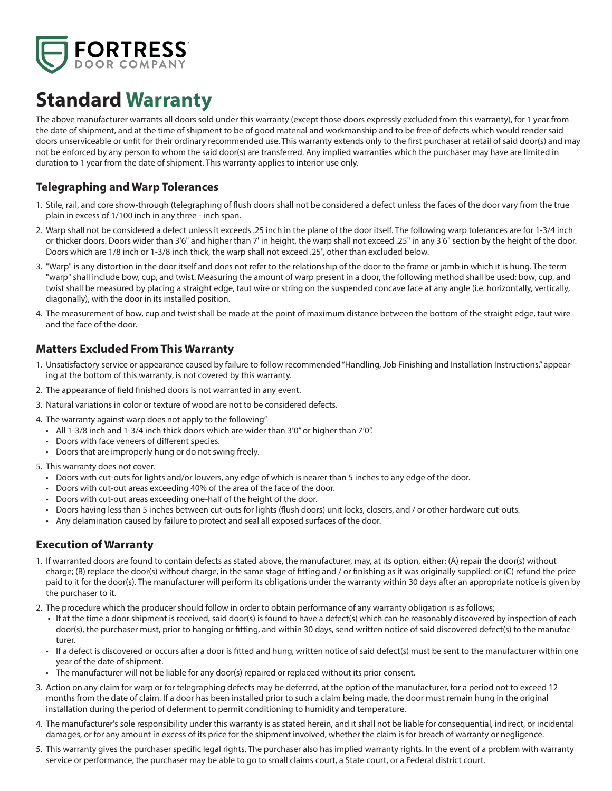

# **Standard Warranty**

The above manufacturer warrants all doors sold under this warranty (except those doors expressly excluded from this warranty), for 1 year from the date of shipment, and at the time of shipment to be of good material and workmanship and to be free of defects which would render said doors unserviceable or unfit for their ordinary recommended use. This warranty extends only to the first purchaser at retail of said door(s) and may not be enforced by any person to whom the said door(s) are transferred. Any implied warranties which the purchaser may have are limited in duration to 1 year from the date of shipment. This warranty applies to interior use only.

## **Telegraphing and Warp Tolerances**

- 1. Stile, rail, and core show-through (telegraphing of flush doors shall not be considered a defect unless the faces of the door vary from the true plain in excess of 1/100 inch in any three - inch span.
- 2. Warp shall not be considered a defect unless it exceeds .25 inch in the plane of the door itself. The following warp tolerances are for 1-3/4 inch or thicker doors. Doors wider than 3'6" and higher than 7' in height, the warp shall not exceed .25" in any 3'6" section by the height of the door. Doors which are 1/8 inch or 1-3/8 inch thick, the warp shall not exceed .25", other than excluded below.
- 3. "Warp" is any distortion in the door itself and does not refer to the relationship of the door to the frame or jamb in which it is hung. The term "warp" shall include bow, cup, and twist. Measuring the amount of warp present in a door, the following method shall be used: bow, cup, and twist shall be measured by placing a straight edge, taut wire or string on the suspended concave face at any angle (i.e. horizontally, vertically, diagonally), with the door in its installed position.
- 4. The measurement of bow, cup and twist shall be made at the point of maximum distance between the bottom of the straight edge, taut wire and the face of the door.

### **Matters Excluded From This Warranty**

- 1. Unsatisfactory service or appearance caused by failure to follow recommended "Handling, Job Finishing and Installation Instructions," appearing at the bottom of this warranty, is not covered by this warranty.
- 2. The appearance of field finished doors is not warranted in any event.
- 3. Natural variations in color or texture of wood are not to be considered defects.
- 4. The warranty against warp does not apply to the following"
	- All 1-3/8 inch and 1-3/4 inch thick doors which are wider than 3'0" or higher than 7'0".
	- Doors with face veneers of different species.
	- Doors that are improperly hung or do not swing freely.
- 5. This warranty does not cover.
	- Doors with cut-outs for lights and/or louvers, any edge of which is nearer than 5 inches to any edge of the door.
	- Doors with cut-out areas exceeding 40% of the area of the face of the door.
	- Doors with cut-out areas exceeding one-half of the height of the door.
	- Doors having less than 5 inches between cut-outs for lights (flush doors) unit locks, closers, and / or other hardware cut-outs.
	- Any delamination caused by failure to protect and seal all exposed surfaces of the door.

#### **Execution of Warranty**

- 1. If warranted doors are found to contain defects as stated above, the manufacturer, may, at its option, either: (A) repair the door(s) without charge; (B) replace the door(s) without charge, in the same stage of fitting and / or finishing as it was originally supplied: or (C) refund the price paid to it for the door(s). The manufacturer will perform its obligations under the warranty within 30 days after an appropriate notice is given by the purchaser to it.
- 2. The procedure which the producer should follow in order to obtain performance of any warranty obligation is as follows;
	- If at the time a door shipment is received, said door(s) is found to have a defect(s) which can be reasonably discovered by inspection of each door(s), the purchaser must, prior to hanging or fitting, and within 30 days, send written notice of said discovered defect(s) to the manufacturer.
	- If a defect is discovered or occurs after a door is fitted and hung, written notice of said defect(s) must be sent to the manufacturer within one year of the date of shipment.
	- The manufacturer will not be liable for any door(s) repaired or replaced without its prior consent.
- 3. Action on any claim for warp or for telegraphing defects may be deferred, at the option of the manufacturer, for a period not to exceed 12 months from the date of claim. If a door has been installed prior to such a claim being made, the door must remain hung in the original installation during the period of deferment to permit conditioning to humidity and temperature.
- 4. The manufacturer's sole responsibility under this warranty is as stated herein, and it shall not be liable for consequential, indirect, or incidental damages, or for any amount in excess of its price for the shipment involved, whether the claim is for breach of warranty or negligence.
- 5. This warranty gives the purchaser specific legal rights. The purchaser also has implied warranty rights. In the event of a problem with warranty service or performance, the purchaser may be able to go to small claims court, a State court, or a Federal district court.